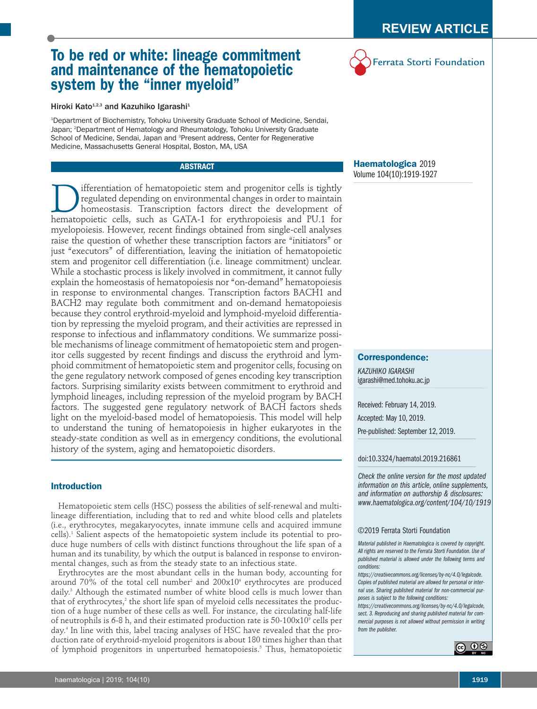Ferrata Storti Foundation

# **To be red or white: lineage commitment and maintenance of the hematopoietic system by the "inner myeloid"**

Hiroki Kato<sup>1,2,3</sup> and Kazuhiko Igarashi<sup>1</sup>

1 Department of Biochemistry, Tohoku University Graduate School of Medicine, Sendai, Japan; 2 Department of Hematology and Rheumatology, Tohoku University Graduate School of Medicine, Sendai, Japan and <sup>3</sup>Present address, Center for Regenerative Medicine, Massachusetts General Hospital, Boston, MA, USA

**ABSTRACT**

**Dependence 1** ifferentiation of hematopoietic stem and progenitor cells is tightly regulated depending on environmental changes in order to maintain homeostasis. Transcription factors direct the development of hematopoiet regulated depending on environmental changes in order to maintain homeostasis. Transcription factors direct the development of hematopoietic cells, such as GATA-1 for erythropoiesis and PU.1 for myelopoiesis. However, recent findings obtained from single-cell analyses raise the question of whether these transcription factors are "initiators" or just "executors" of differentiation, leaving the initiation of hematopoietic stem and progenitor cell differentiation (i.e. lineage commitment) unclear. While a stochastic process is likely involved in commitment, it cannot fully explain the homeostasis of hematopoiesis nor "on-demand" hematopoiesis in response to environmental changes. Transcription factors BACH1 and BACH2 may regulate both commitment and on-demand hematopoiesis because they control erythroid-myeloid and lymphoid-myeloid differentiation by repressing the myeloid program, and their activities are repressed in response to infectious and inflammatory conditions. We summarize possible mechanisms of lineage commitment of hematopoietic stem and progenitor cells suggested by recent findings and discuss the erythroid and lymphoid commitment of hematopoietic stem and progenitor cells, focusing on the gene regulatory network composed of genes encoding key transcription factors. Surprising similarity exists between commitment to erythroid and lymphoid lineages, including repression of the myeloid program by BACH factors. The suggested gene regulatory network of BACH factors sheds light on the myeloid-based model of hematopoiesis. This model will help to understand the tuning of hematopoiesis in higher eukaryotes in the steady-state condition as well as in emergency conditions, the evolutional history of the system, aging and hematopoietic disorders.

### **Introduction**

Hematopoietic stem cells (HSC) possess the abilities of self-renewal and multilineage differentiation, including that to red and white blood cells and platelets (i.e., erythrocytes, megakaryocytes, innate immune cells and acquired immune cells).<sup>1</sup> Salient aspects of the hematopoietic system include its potential to produce huge numbers of cells with distinct functions throughout the life span of a human and its tunability, by which the output is balanced in response to environmental changes, such as from the steady state to an infectious state.

Erythrocytes are the most abundant cells in the human body, accounting for around 70% of the total cell number<sup>2</sup> and  $200x10^{\circ}$  erythrocytes are produced daily.<sup>3</sup> Although the estimated number of white blood cells is much lower than that of erythrocytes, $\lambda^2$  the short life span of myeloid cells necessitates the production of a huge number of these cells as well. For instance, the circulating half-life of neutrophils is 6-8 h, and their estimated production rate is  $50-100x10^5$  cells per day.4 In line with this, label tracing analyses of HSC have revealed that the production rate of erythroid-myeloid progenitors is about 180 times higher than that of lymphoid progenitors in unperturbed hematopoiesis.<sup>5</sup> Thus, hematopoietic

**Haematologica** 2019 Volume 104(10):1919-1927

#### **Correspondence:**

*KAZUHIKO IGARASHI* igarashi@med.tohoku.ac.jp

Received: February 14, 2019. Accepted: May 10, 2019.

Pre-published: September 12, 2019.

doi:10.3324/haematol.2019.216861

*Check the online version for the most updated information on this article, online supplements, and information on authorship & disclosures: www.haematologica.org/content/104/10/1919*

#### ©2019 Ferrata Storti Foundation

*Material published in Haematologica is covered by copyright. All rights are reserved to the Ferrata Storti Foundation. Use of published material is allowed under the following terms and conditions:* 

*https://creativecommons.org/licenses/by-nc/4.0/legalcode. Copies of published material are allowed for personal or internal use. Sharing published material for non-commercial purposes is subject to the following conditions:* 

*https://creativecommons.org/licenses/by-nc/4.0/legalcode, sect. 3. Reproducing and sharing published material for commercial purposes is not allowed without permission in writing from the publisher.*

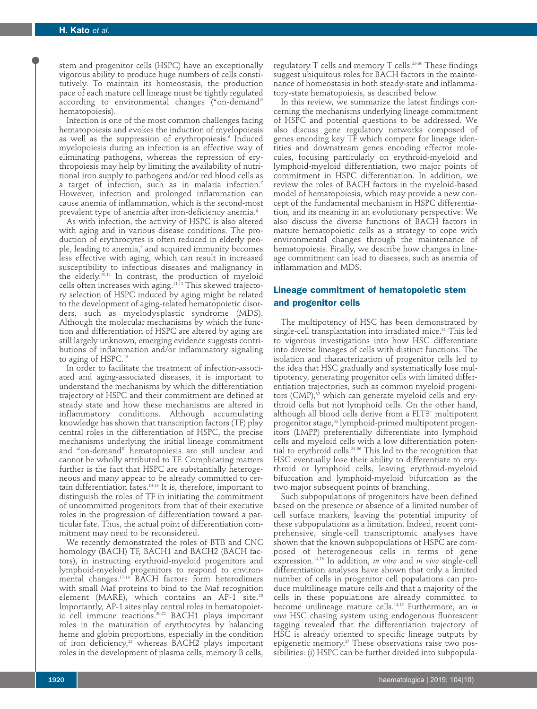stem and progenitor cells (HSPC) have an exceptionally vigorous ability to produce huge numbers of cells constitutively. To maintain its homeostasis, the production pace of each mature cell lineage must be tightly regulated according to environmental changes ("on-demand" hematopoiesis).

Infection is one of the most common challenges facing hematopoiesis and evokes the induction of myelopoiesis as well as the suppression of erythropoiesis.<sup>6</sup> Induced myelopoiesis during an infection is an effective way of eliminating pathogens, whereas the repression of erythropoiesis may help by limiting the availability of nutritional iron supply to pathogens and/or red blood cells as a target of infection, such as in malaria infection.<sup>7</sup> However, infection and prolonged inflammation can cause anemia of inflammation, which is the second-most prevalent type of anemia after iron-deficiency anemia.<sup>8</sup>

As with infection, the activity of HSPC is also altered with aging and in various disease conditions. The production of erythrocytes is often reduced in elderly people, leading to anemia,<sup>9</sup> and acquired immunity becomes less effective with aging, which can result in increased susceptibility to infectious diseases and malignancy in the elderly.<sup>10,11</sup> In contrast, the production of myeloid cells often increases with aging.11,12 This skewed trajectory selection of HSPC induced by aging might be related to the development of aging-related hematopoietic disorders, such as myelodysplastic syndrome (MDS). Although the molecular mechanisms by which the function and differentiation of HSPC are altered by aging are still largely unknown, emerging evidence suggests contributions of inflammation and/or inflammatory signaling to aging of HSPC.<sup>13</sup>

In order to facilitate the treatment of infection-associated and aging-associated diseases, it is important to understand the mechanisms by which the differentiation trajectory of HSPC and their commitment are defined at steady state and how these mechanisms are altered in inflammatory conditions. Although accumulating knowledge has shown that transcription factors (TF) play central roles in the differentiation of HSPC, the precise mechanisms underlying the initial lineage commitment and "on-demand" hematopoiesis are still unclear and cannot be wholly attributed to TF. Complicating matters further is the fact that HSPC are substantially heterogeneous and many appear to be already committed to certain differentiation fates.14-16 It is, therefore, important to distinguish the roles of TF in initiating the commitment of uncommitted progenitors from that of their executive roles in the progression of differentiation toward a particular fate. Thus, the actual point of differentiation commitment may need to be reconsidered.

We recently demonstrated the roles of BTB and CNC homology (BACH) TF, BACH1 and BACH2 (BACH factors), in instructing erythroid-myeloid progenitors and lymphoid-myeloid progenitors to respond to environmental changes.17-19 BACH factors form heterodimers with small Maf proteins to bind to the Maf recognition element (MARE), which contains an AP-1 site.<sup>20</sup> Importantly, AP-1 sites play central roles in hematopoietic cell immune reactions.20,21 BACH1 plays important roles in the maturation of erythrocytes by balancing heme and globin proportions, especially in the condition of iron deficiency,<sup>22</sup> whereas BACH2 plays important roles in the development of plasma cells, memory B cells,

regulatory  $T$  cells and memory  $T$  cells.<sup>23-30</sup> These findings suggest ubiquitous roles for BACH factors in the maintenance of homeostasis in both steady-state and inflammatory-state hematopoiesis, as described below.

In this review, we summarize the latest findings concerning the mechanisms underlying lineage commitment of HSPC and potential questions to be addressed. We also discuss gene regulatory networks composed of genes encoding key TF which compete for lineage identities and downstream genes encoding effector molecules, focusing particularly on erythroid-myeloid and lymphoid-myeloid differentiation, two major points of commitment in HSPC differentiation. In addition, we review the roles of BACH factors in the myeloid-based model of hematopoiesis, which may provide a new concept of the fundamental mechanism in HSPC differentiation, and its meaning in an evolutionary perspective. We also discuss the diverse functions of BACH factors in mature hematopoietic cells as a strategy to cope with environmental changes through the maintenance of hematopoiesis. Finally, we describe how changes in lineage commitment can lead to diseases, such as anemia of inflammation and MDS.

### **Lineage commitment of hematopoietic stem and progenitor cells**

The multipotency of HSC has been demonstrated by single-cell transplantation into irradiated mice.<sup>31</sup> This led to vigorous investigations into how HSC differentiate into diverse lineages of cells with distinct functions. The isolation and characterization of progenitor cells led to the idea that HSC gradually and systematically lose multipotency, generating progenitor cells with limited differentiation trajectories, such as common myeloid progenitors (CMP),<sup>32</sup> which can generate myeloid cells and erythroid cells but not lymphoid cells. On the other hand, although all blood cells derive from a FLT3+ multipotent progenitor stage,<sup>33</sup> lymphoid-primed multipotent progenitors (LMPP) preferentially differentiate into lymphoid cells and myeloid cells with a low differentiation potential to erythroid cells.<sup>34-36</sup> This led to the recognition that HSC eventually lose their ability to differentiate to erythroid or lymphoid cells, leaving erythroid-myeloid bifurcation and lymphoid-myeloid bifurcation as the two major subsequent points of branching.

Such subpopulations of progenitors have been defined based on the presence or absence of a limited number of cell surface markers, leaving the potential impurity of these subpopulations as a limitation. Indeed, recent comprehensive, single-cell transcriptomic analyses have shown that the known subpopulations of HSPC are composed of heterogeneous cells in terms of gene expression.14,16 In addition, *in vitro* and *in vivo* single-cell differentiation analyses have shown that only a limited number of cells in progenitor cell populations can produce multilineage mature cells and that a majority of the cells in these populations are already committed to become unilineage mature cells.14,15 Furthermore, an *in vivo* HSC chasing system using endogenous fluorescent tagging revealed that the differentiation trajectory of HSC is already oriented to specific lineage outputs by epigenetic memory.37 These observations raise two possibilities: (i) HSPC can be further divided into subpopula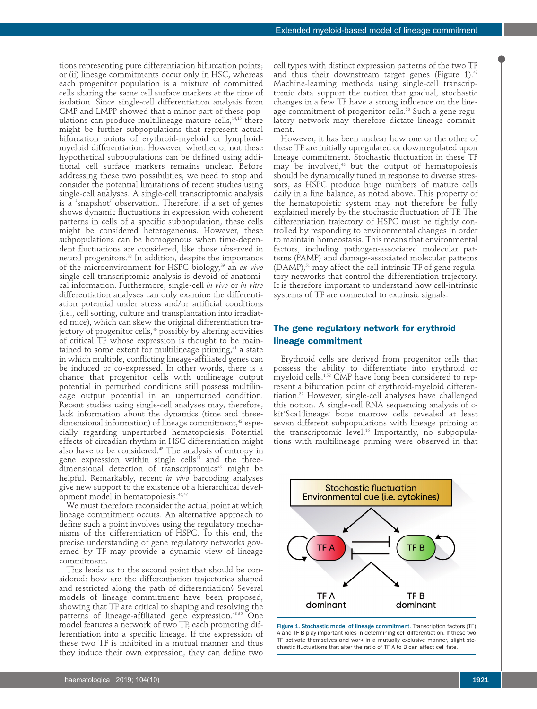tions representing pure differentiation bifurcation points; or (ii) lineage commitments occur only in HSC, whereas each progenitor population is a mixture of committed cells sharing the same cell surface markers at the time of isolation. Since single-cell differentiation analysis from CMP and LMPP showed that a minor part of these populations can produce multilineage mature cells,<sup>14,15</sup> there might be further subpopulations that represent actual bifurcation points of erythroid-myeloid or lymphoidmyeloid differentiation. However, whether or not these hypothetical subpopulations can be defined using additional cell surface markers remains unclear. Before addressing these two possibilities, we need to stop and consider the potential limitations of recent studies using single-cell analyses. A single-cell transcriptomic analysis is a 'snapshot' observation. Therefore, if a set of genes shows dynamic fluctuations in expression with coherent patterns in cells of a specific subpopulation, these cells might be considered heterogeneous. However, these subpopulations can be homogenous when time-dependent fluctuations are considered, like those observed in neural progenitors.38 In addition, despite the importance of the microenvironment for HSPC biology,<sup>39</sup> an *ex vivo* single-cell transcriptomic analysis is devoid of anatomical information. Furthermore, single-cell *in vivo* or *in vitro* differentiation analyses can only examine the differentiation potential under stress and/or artificial conditions (i.e., cell sorting, culture and transplantation into irradiated mice), which can skew the original differentiation trajectory of progenitor cells,<sup>40</sup> possibly by altering activities of critical TF whose expression is thought to be maintained to some extent for multilineage priming, $41$  a state in which multiple, conflicting lineage-affiliated genes can be induced or co-expressed. In other words, there is a chance that progenitor cells with unilineage output potential in perturbed conditions still possess multilineage output potential in an unperturbed condition. Recent studies using single-cell analyses may, therefore, lack information about the dynamics (time and threedimensional information) of lineage commitment,<sup>42</sup> especially regarding unperturbed hematopoiesis. Potential effects of circadian rhythm in HSC differentiation might also have to be considered.<sup>43</sup> The analysis of entropy in gene expression within single cells<sup>44</sup> and the threedimensional detection of transcriptomics<sup>45</sup> might be helpful. Remarkably, recent *in vivo* barcoding analyses give new support to the existence of a hierarchical development model in hematopoiesis.<sup>46,47</sup>

We must therefore reconsider the actual point at which lineage commitment occurs. An alternative approach to define such a point involves using the regulatory mechanisms of the differentiation of HSPC. To this end, the precise understanding of gene regulatory networks governed by TF may provide a dynamic view of lineage commitment.

This leads us to the second point that should be considered: how are the differentiation trajectories shaped and restricted along the path of differentiation? Several models of lineage commitment have been proposed, showing that TF are critical to shaping and resolving the patterns of lineage-affiliated gene expression.<sup>48-50</sup> One model features a network of two TF, each promoting differentiation into a specific lineage. If the expression of these two TF is inhibited in a mutual manner and thus they induce their own expression, they can define two

cell types with distinct expression patterns of the two TF and thus their downstream target genes (Figure 1).<sup>48</sup> Machine-learning methods using single-cell transcriptomic data support the notion that gradual, stochastic changes in a few TF have a strong influence on the lineage commitment of progenitor cells.<sup>50</sup> Such a gene regulatory network may therefore dictate lineage commitment.

However, it has been unclear how one or the other of these TF are initially upregulated or downregulated upon lineage commitment. Stochastic fluctuation in these TF may be involved,48 but the output of hematopoiesis should be dynamically tuned in response to diverse stressors, as HSPC produce huge numbers of mature cells daily in a fine balance, as noted above. This property of the hematopoietic system may not therefore be fully explained merely by the stochastic fluctuation of TF. The differentiation trajectory of HSPC must be tightly controlled by responding to environmental changes in order to maintain homeostasis. This means that environmental factors, including pathogen-associated molecular patterns (PAMP) and damage-associated molecular patterns (DAMP),<sup>51</sup> may affect the cell-intrinsic TF of gene regulatory networks that control the differentiation trajectory. It is therefore important to understand how cell-intrinsic systems of TF are connected to extrinsic signals.

# **The gene regulatory network for erythroid lineage commitment**

Erythroid cells are derived from progenitor cells that possess the ability to differentiate into erythroid or myeloid cells.1,52 CMP have long been considered to represent a bifurcation point of erythroid-myeloid differentiation.32 However, single-cell analyses have challenged this notion. A single-cell RNA sequencing analysis of ckit+ Sca1- lineage- bone marrow cells revealed at least seven different subpopulations with lineage priming at the transcriptomic level.16 Importantly, no subpopulations with multilineage priming were observed in that



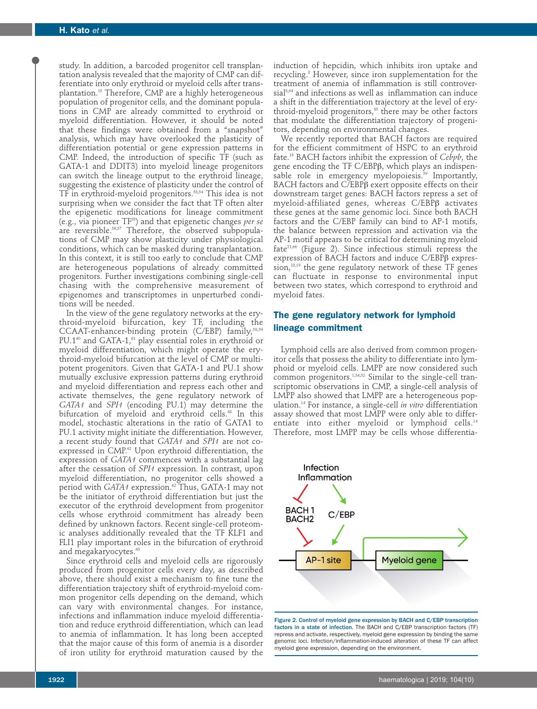study. In addition, a barcoded progenitor cell transplantation analysis revealed that the majority of CMP can differentiate into only erythroid or myeloid cells after transplantation.15 Therefore, CMP are a highly heterogeneous population of progenitor cells, and the dominant populations in CMP are already committed to erythroid or myeloid differentiation. However, it should be noted that these findings were obtained from a "snapshot" analysis, which may have overlooked the plasticity of differentiation potential or gene expression patterns in CMP. Indeed, the introduction of specific TF (such as GATA-1 and DDIT3) into myeloid lineage progenitors can switch the lineage output to the erythroid lineage, suggesting the existence of plasticity under the control of TF in erythroid-myeloid progenitors.53,54 This idea is not surprising when we consider the fact that TF often alter the epigenetic modifications for lineage commitment (e.g., via pioneer TF55) and that epigenetic changes *per se* are reversible.<sup>56,57</sup> Therefore, the observed subpopulations of CMP may show plasticity under physiological conditions, which can be masked during transplantation. In this context, it is still too early to conclude that CMP are heterogeneous populations of already committed progenitors. Further investigations combining single-cell chasing with the comprehensive measurement of epigenomes and transcriptomes in unperturbed conditions will be needed.

In the view of the gene regulatory networks at the erythroid-myeloid bifurcation, key TF, including the CCAAT-enhancer-binding protein (C/EBP) family, 58,59 PU.1<sup>60</sup> and GATA-1,<sup>61</sup> play essential roles in erythroid or myeloid differentiation, which might operate the erythroid-myeloid bifurcation at the level of CMP or multipotent progenitors. Given that GATA-1 and PU.1 show mutually exclusive expression patterns during erythroid and myeloid differentiation and repress each other and activate themselves, the gene regulatory network of *GATA1* and *SPI1* (encoding PU.1) may determine the bifurcation of myeloid and erythroid cells.<sup>48</sup> In this model, stochastic alterations in the ratio of GATA1 to PU.1 activity might initiate the differentiation. However, a recent study found that *GATA1* and *SPI1* are not coexpressed in CMP.<sup>62</sup> Upon erythroid differentiation, the expression of *GATA1* commences with a substantial lag after the cessation of *SPI1* expression. In contrast, upon myeloid differentiation, no progenitor cells showed a period with *GATA1* expression.<sup>62</sup> Thus, GATA-1 may not be the initiator of erythroid differentiation but just the executor of the erythroid development from progenitor cells whose erythroid commitment has already been defined by unknown factors. Recent single-cell proteomic analyses additionally revealed that the TF KLF1 and FLI1 play important roles in the bifurcation of erythroid and megakaryocytes.<sup>63</sup>

Since erythroid cells and myeloid cells are rigorously produced from progenitor cells every day, as described above, there should exist a mechanism to fine tune the differentiation trajectory shift of erythroid-myeloid common progenitor cells depending on the demand, which can vary with environmental changes. For instance, infections and inflammation induce myeloid differentiation and reduce erythroid differentiation, which can lead to anemia of inflammation. It has long been accepted that the major cause of this form of anemia is a disorder of iron utility for erythroid maturation caused by the

induction of hepcidin, which inhibits iron uptake and recycling.<sup>8</sup> However, since iron supplementation for the treatment of anemia of inflammation is still controversial<sup>8,64</sup> and infections as well as inflammation can induce a shift in the differentiation trajectory at the level of erythroid-myeloid progenitors,<sup>65</sup> there may be other factors that modulate the differentiation trajectory of progenitors, depending on environmental changes.

We recently reported that BACH factors are required for the efficient commitment of HSPC to an erythroid fate.19 BACH factors inhibit the expression of *Cebpb*, the gene encoding the TF C/EBPβ, which plays an indispensable role in emergency myelopoiesis.<sup>59</sup> Importantly, BACH factors and C/EBPβ exert opposite effects on their downstream target genes: BACH factors repress a set of myeloid-affiliated genes, whereas C/EBPβ activates these genes at the same genomic loci. Since both BACH factors and the C/EBP family can bind to AP-1 motifs, the balance between repression and activation via the AP-1 motif appears to be critical for determining myeloid fate<sup>21,66</sup> (Figure 2). Since infectious stimuli repress the expression of BACH factors and induce C/EBPβ expression,18,19 the gene regulatory network of these TF genes can fluctuate in response to environmental input between two states, which correspond to erythroid and myeloid fates.

## **The gene regulatory network for lymphoid lineage commitment**

Lymphoid cells are also derived from common progenitor cells that possess the ability to differentiate into lymphoid or myeloid cells. LMPP are now considered such common progenitors.1,34,52 Similar to the single-cell transcriptomic observations in CMP, a single-cell analysis of LMPP also showed that LMPP are a heterogeneous population.14 For instance, a single-cell *in vitro* differentiation assay showed that most LMPP were only able to differentiate into either myeloid or lymphoid cells.<sup>14</sup> Therefore, most LMPP may be cells whose differentia-



Figure 2. Control of myeloid gene expression by BACH and C/EBP transcription factors in a state of infection. The BACH and C/EBP transcription factors (TF) repress and activate, respectively, myeloid gene expression by binding the same genomic loci. Infection/inflammation-induced alteration of these TF can affect myeloid gene expression, depending on the environment.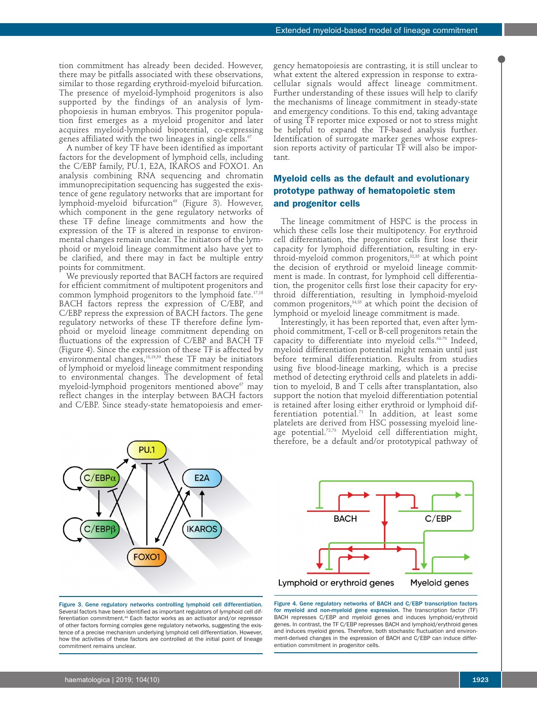tion commitment has already been decided. However, there may be pitfalls associated with these observations, similar to those regarding erythroid-myeloid bifurcation. The presence of myeloid-lymphoid progenitors is also supported by the findings of an analysis of lymphopoiesis in human embryos. This progenitor population first emerges as a myeloid progenitor and later acquires myeloid-lymphoid bipotential, co-expressing genes affiliated with the two lineages in single cells. $\sigma$ 

A number of key TF have been identified as important factors for the development of lymphoid cells, including the C/EBP family, PU.1, E2A, IKAROS and FOXO1. An analysis combining RNA sequencing and chromatin immunoprecipitation sequencing has suggested the existence of gene regulatory networks that are important for lymphoid-myeloid bifurcation<sup>49</sup> (Figure 3). However, which component in the gene regulatory networks of these TF define lineage commitments and how the expression of the TF is altered in response to environmental changes remain unclear. The initiators of the lymphoid or myeloid lineage commitment also have yet to be clarified, and there may in fact be multiple entry points for commitment.

We previously reported that BACH factors are required for efficient commitment of multipotent progenitors and common lymphoid progenitors to the lymphoid fate.17,18 BACH factors repress the expression of C/EBP, and C/EBP repress the expression of BACH factors. The gene regulatory networks of these TF therefore define lymphoid or myeloid lineage commitment depending on fluctuations of the expression of C/EBP and BACH TF (Figure 4). Since the expression of these TF is affected by environmental changes,18,19,59 these TF may be initiators of lymphoid or myeloid lineage commitment responding to environmental changes. The development of fetal myeloid-lymphoid progenitors mentioned above $^{\sigma}$  may reflect changes in the interplay between BACH factors and C/EBP. Since steady-state hematopoiesis and emergency hematopoiesis are contrasting, it is still unclear to what extent the altered expression in response to extracellular signals would affect lineage commitment. Further understanding of these issues will help to clarify the mechanisms of lineage commitment in steady-state and emergency conditions. To this end, taking advantage of using TF reporter mice exposed or not to stress might be helpful to expand the TF-based analysis further. Identification of surrogate marker genes whose expression reports activity of particular TF will also be important.

# **Myeloid cells as the default and evolutionary prototype pathway of hematopoietic stem and progenitor cells**

The lineage commitment of HSPC is the process in which these cells lose their multipotency. For erythroid cell differentiation, the progenitor cells first lose their capacity for lymphoid differentiation, resulting in erythroid-myeloid common progenitors,<sup>32,35</sup> at which point the decision of erythroid or myeloid lineage commitment is made. In contrast, for lymphoid cell differentiation, the progenitor cells first lose their capacity for erythroid differentiation, resulting in lymphoid-myeloid common progenitors,<sup>34,35</sup> at which point the decision of lymphoid or myeloid lineage commitment is made.

Interestingly, it has been reported that, even after lymphoid commitment, T-cell or B-cell progenitors retain the capacity to differentiate into myeloid cells.68-70 Indeed, myeloid differentiation potential might remain until just before terminal differentiation. Results from studies using five blood-lineage marking, which is a precise method of detecting erythroid cells and platelets in addition to myeloid, B and T cells after transplantation, also support the notion that myeloid differentiation potential is retained after losing either erythroid or lymphoid differentiation potential.<sup>71</sup> In addition, at least some platelets are derived from HSC possessing myeloid lineage potential.72,73 Myeloid cell differentiation might, therefore, be a default and/or prototypical pathway of





Figure 3. Gene regulatory networks controlling lymphoid cell differentiation. Several factors have been identified as important regulators of lymphoid cell differentiation commitment.49 Each factor works as an activator and/or repressor of other factors forming complex gene regulatory networks, suggesting the existence of a precise mechanism underlying lymphoid cell differentiation. However, how the activities of these factors are controlled at the initial point of lineage commitment remains unclear.

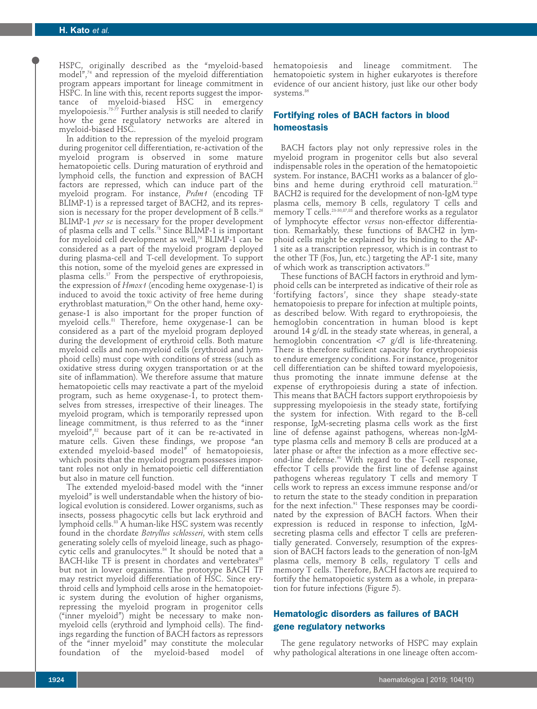HSPC, originally described as the "myeloid-based model",74 and repression of the myeloid differentiation program appears important for lineage commitment in HSPC. In line with this, recent reports suggest the importance of myeloid-biased HSC in emergency myelopoiesis.75-77 Further analysis is still needed to clarify how the gene regulatory networks are altered in myeloid-biased HSC.

In addition to the repression of the myeloid program during progenitor cell differentiation, re-activation of the myeloid program is observed in some mature hematopoietic cells. During maturation of erythroid and lymphoid cells, the function and expression of BACH factors are repressed, which can induce part of the myeloid program. For instance, *Prdm1* (encoding TF BLIMP-1) is a repressed target of BACH2, and its repression is necessary for the proper development of B cells.26 BLIMP-1 *per se* is necessary for the proper development of plasma cells and T cells.78 Since BLIMP-1 is important for myeloid cell development as well,<sup>79</sup> BLIMP-1 can be considered as a part of the myeloid program deployed during plasma-cell and T-cell development. To support this notion, some of the myeloid genes are expressed in plasma cells.17 From the perspective of erythropoiesis, the expression of *Hmox1* (encoding heme oxygenase-1) is induced to avoid the toxic activity of free heme during erythroblast maturation,<sup>80</sup> On the other hand, heme oxygenase-1 is also important for the proper function of myeloid cells.81 Therefore, heme oxygenase-1 can be considered as a part of the myeloid program deployed during the development of erythroid cells. Both mature myeloid cells and non-myeloid cells (erythroid and lymphoid cells) must cope with conditions of stress (such as oxidative stress during oxygen transportation or at the site of inflammation). We therefore assume that mature hematopoietic cells may reactivate a part of the myeloid program, such as heme oxygenase-1, to protect themselves from stresses, irrespective of their lineages. The myeloid program, which is temporarily repressed upon lineage commitment, is thus referred to as the "inner myeloid",<sup>82</sup> because part of it can be re-activated in mature cells. Given these findings, we propose "an extended myeloid-based model" of hematopoiesis, which posits that the myeloid program possesses important roles not only in hematopoietic cell differentiation but also in mature cell function.

The extended myeloid-based model with the "inner myeloid" is well understandable when the history of biological evolution is considered. Lower organisms, such as insects, possess phagocytic cells but lack erythroid and lymphoid cells.83 A human-like HSC system was recently found in the chordate *Botryllus schlosseri*, with stem cells generating solely cells of myeloid lineage, such as phagocytic cells and granulocytes.<sup>84</sup> It should be noted that a BACH-like TF is present in chordates and vertebrates<sup>85</sup> but not in lower organisms. The prototype BACH TF may restrict myeloid differentiation of HSC. Since erythroid cells and lymphoid cells arose in the hematopoietic system during the evolution of higher organisms, repressing the myeloid program in progenitor cells ("inner myeloid") might be necessary to make nonmyeloid cells (erythroid and lymphoid cells). The findings regarding the function of BACH factors as repressors of the "inner myeloid" may constitute the molecular foundation of the myeloid-based model of hematopoiesis and lineage commitment. hematopoietic system in higher eukaryotes is therefore evidence of our ancient history, just like our other body systems.<sup>86</sup>

#### **Fortifying roles of BACH factors in blood homeostasis**

BACH factors play not only repressive roles in the myeloid program in progenitor cells but also several indispensable roles in the operation of the hematopoietic system. For instance, BACH1 works as a balancer of globins and heme during erythroid cell maturation.<sup>22</sup> BACH2 is required for the development of non-IgM type plasma cells, memory B cells, regulatory T cells and memory T cells.<sup>23-30,87,88</sup> and therefore works as a regulator of lymphocyte effector *versus* non-effector differentiation. Remarkably, these functions of BACH2 in lymphoid cells might be explained by its binding to the AP-1 site as a transcription repressor, which is in contrast to the other TF (Fos, Jun, etc.) targeting the AP-1 site, many of which work as transcription activators.<sup>89</sup>

These functions of BACH factors in erythroid and lymphoid cells can be interpreted as indicative of their role as 'fortifying factors', since they shape steady-state hematopoiesis to prepare for infection at multiple points, as described below. With regard to erythropoiesis, the hemoglobin concentration in human blood is kept around 14 g/dL in the steady state whereas, in general, a hemoglobin concentration <7 g/dl is life-threatening. There is therefore sufficient capacity for erythropoiesis to endure emergency conditions. For instance, progenitor cell differentiation can be shifted toward myelopoiesis, thus promoting the innate immune defense at the expense of erythropoiesis during a state of infection. This means that BACH factors support erythropoiesis by suppressing myelopoiesis in the steady state, fortifying the system for infection. With regard to the B-cell response, IgM-secreting plasma cells work as the first line of defense against pathogens, whereas non-IgMtype plasma cells and memory B cells are produced at a later phase or after the infection as a more effective second-line defense.<sup>90</sup> With regard to the T-cell response, effector T cells provide the first line of defense against pathogens whereas regulatory T cells and memory T cells work to repress an excess immune response and/or to return the state to the steady condition in preparation for the next infection.<sup>91</sup> These responses may be coordinated by the expression of BACH factors. When their expression is reduced in response to infection, IgMsecreting plasma cells and effector T cells are preferentially generated. Conversely, resumption of the expression of BACH factors leads to the generation of non-IgM plasma cells, memory B cells, regulatory T cells and memory T cells. Therefore, BACH factors are required to fortify the hematopoietic system as a whole, in preparation for future infections (Figure 5).

### **Hematologic disorders as failures of BACH gene regulatory networks**

The gene regulatory networks of HSPC may explain why pathological alterations in one lineage often accom-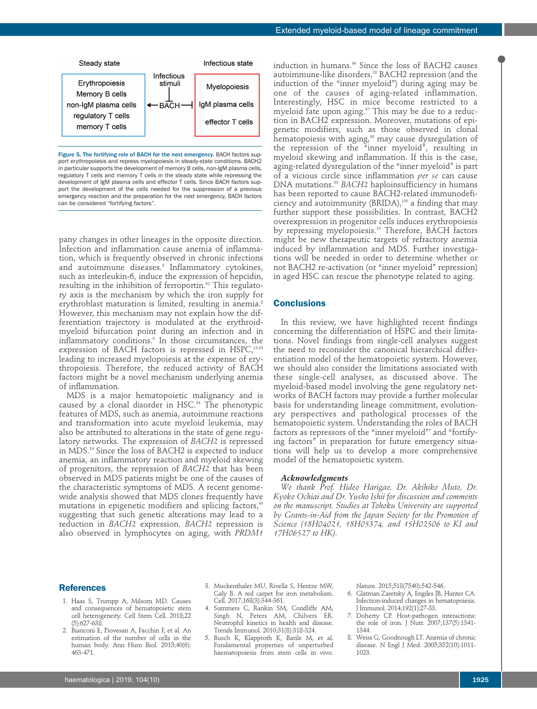

Figure 5. The fortifying role of BACH for the next emergency. BACH factors support erythropoiesis and repress myelopoiesis in steady-state conditions. BACH2 in particular supports the development of memory B cells, non-IgM plasma cells, regulatory T cells and memory T cells in the steady state while repressing the development of IgM plasma cells and effector T cells. Since BACH factors support the development of the cells needed for the suppression of a previous emergency reaction and the preparation for the next emergency, BACH factors can be considered "fortifying factors".

pany changes in other lineages in the opposite direction. Infection and inflammation cause anemia of inflammation, which is frequently observed in chronic infections and autoimmune diseases.<sup>8</sup> Inflammatory cytokines, such as interleukin-6, induce the expression of hepcidin, resulting in the inhibition of ferroportin.<sup>92</sup> This regulatory axis is the mechanism by which the iron supply for erythroblast maturation is limited, resulting in anemia.<sup>8</sup> However, this mechanism may not explain how the differentiation trajectory is modulated at the erythroidmyeloid bifurcation point during an infection and in inflammatory conditions.<sup>6</sup> In those circumstances, the expression of BACH factors is repressed in HSPC,<sup>19,93</sup> leading to increased myelopoiesis at the expense of erythropoiesis. Therefore, the reduced activity of BACH factors might be a novel mechanism underlying anemia of inflammation.

MDS is a major hematopoietic malignancy and is caused by a clonal disorder in HSC.<sup>94</sup> The phenotypic features of MDS, such as anemia, autoimmune reactions and transformation into acute myeloid leukemia, may also be attributed to alterations in the state of gene regulatory networks. The expression of *BACH2* is repressed in MDS.19 Since the loss of BACH2 is expected to induce anemia, an inflammatory reaction and myeloid skewing of progenitors, the repression of *BACH2* that has been observed in MDS patients might be one of the causes of the characteristic symptoms of MDS. A recent genomewide analysis showed that MDS clones frequently have mutations in epigenetic modifiers and splicing factors,<sup>95</sup> suggesting that such genetic alterations may lead to a reduction in *BACH2* expression. *BACH2* repression is also observed in lymphocytes on aging, with *PRDM1*

induction in humans.<sup>96</sup> Since the loss of BACH2 causes autoimmune-like disorders,<sup>28</sup> BACH2 repression (and the induction of the "inner myeloid") during aging may be one of the causes of aging-related inflammation. Interestingly, HSC in mice become restricted to a myeloid fate upon aging.<sup>97</sup> This may be due to a reduction in BACH2 expression. Moreover, mutations of epigenetic modifiers, such as those observed in clonal hematopoiesis with aging,<sup>98</sup> may cause dysregulation of the repression of the "inner myeloid", resulting in myeloid skewing and inflammation. If this is the case, aging-related dysregulation of the "inner myeloid" is part of a vicious circle since inflammation *per se* can cause DNA mutations.<sup>99</sup> BACH2 haploinsufficiency in humans has been reported to cause BACH2-related immunodeficiency and autoimmunity (BRIDA), $100$  a finding that may further support these possibilities. In contrast, BACH2 overexpression in progenitor cells induces erythropoiesis by repressing myelopoiesis.<sup>19</sup> Therefore, BACH factors might be new therapeutic targets of refractory anemia induced by inflammation and MDS. Further investigations will be needed in order to determine whether or not BACH2 re-activation (or "inner myeloid" repression) in aged HSC can rescue the phenotype related to aging.

#### **Conclusions**

In this review, we have highlighted recent findings concerning the differentiation of HSPC and their limitations. Novel findings from single-cell analyses suggest the need to reconsider the canonical hierarchical differentiation model of the hematopoietic system. However, we should also consider the limitations associated with these single-cell analyses, as discussed above. The myeloid-based model involving the gene regulatory networks of BACH factors may provide a further molecular basis for understanding lineage commitment, evolutionary perspectives and pathological processes of the hematopoietic system. Understanding the roles of BACH factors as repressors of the "inner myeloid"' and "fortifying factors" in preparation for future emergency situations will help us to develop a more comprehensive model of the hematopoietic system.

#### *Acknowledgments*

*We thank Prof. Hideo Harigae, Dr. Akihiko Muto, Dr. Kyoko Ochiai and Dr. Yusho Ishii for discussion and comments on the manuscript. Studies at Tohoku University are supported by Grants-in-Aid from the Japan Society for the Promotion of Science (18H04021, 18H05374, and 15H02506 to KI and 17H06527 to HK).* 

#### **References**

- 1. Haas S, Trumpp A, Milsom MD. Causes and consequences of hematopoietic stem cell heterogeneity. Cell Stem Cell. 2018;22 (5):627-638.
- 2. Bianconi E, Piovesan A, Facchin F, et al. An estimation of the number of cells in the human body. Ann Hum Biol. 2013;40(6): 463-471.
- 3. Muckenthaler MU, Rivella S, Hentze MW, Galy B. A red carpet for iron metabolism. Cell. 2017;168(3):344-361.
- 4. Summers C, Rankin SM, Condliffe AM, Singh N, Peters AM, Chilvers ER. Neutrophil kinetics in health and disease. Trends Immunol. 2010;31(8):318-324.
- 5. Busch K, Klapproth K, Barile M, et al. Fundamental properties of unperturbed haematopoiesis from stem cells in vivo.

Nature. 2015;518(7540):542-546.

- 6. Glatman Zaretsky A, Engiles JB, Hunter CA. Infection-induced changes in hematopoiesis. J Immunol. 2014;192(1):27-33.
- 7. Doherty CP. Host-pathogen interactions: the role of iron. J Nutr. 2007;137(5):1341- 1344.
- 8. Weiss G, Goodnough LT. Anemia of chronic disease. N Engl J Med. 2005;352(10):1011- 1023.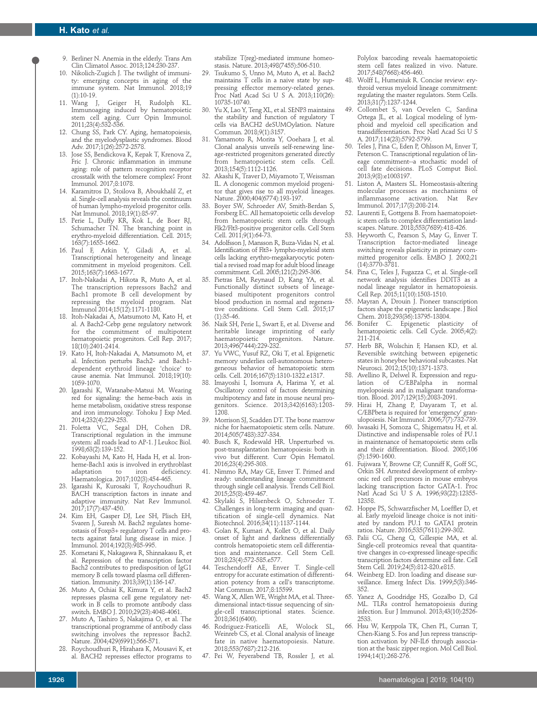- 9. Berliner N. Anemia in the elderly. Trans Am Clin Climatol Assoc. 2013;124:230-237.
- 10. Nikolich-Zugich J. The twilight of immunity: emerging concepts in aging of the immune system. Nat Immunol. 2018;19 (1):10-19.<br>11. Wang J,
- Geiger H, Rudolph KL. Immunoaging induced by hematopoietic stem cell aging. Curr Opin Immunol. 2011;23(4):532-536.
- 12. Chung SS, Park CY. Aging, hematopoiesis, and the myelodysplastic syndromes. Blood Adv. 2017;1(26):2572-2578.
- 13. Jose SS, Bendickova K, Kepak T, Krenova Z, Fric J. Chronic inflammation in immune aging: role of pattern recognition receptor crosstalk with the telomere complex? Front Immunol. 2017;8:1078.
- 14. Karamitros D, Stoilova B, Aboukhalil Z, et al. Single-cell analysis reveals the continuum of human lympho-myeloid progenitor cells. Nat Immunol. 2018;19(1):85-97.
- 15. Perie L, Duffy KR, Kok L, de Boer RJ, Schumacher TN. The branching point in erythro-myeloid differentiation. Cell. 2015; 163(7):1655-1662.
- 16. Paul F, Arkin Y, Giladi A, et al. Transcriptional heterogeneity and lineage commitment in myeloid progenitors. Cell. 2015;163(7):1663-1677.
- 17. Itoh-Nakadai A, Hikota R, Muto A, et al. The transcription repressors Bach2 and Bach1 promote B cell development by repressing the myeloid program. Nat Immunol 2014;15(12):1171-1180.
- 18. Itoh-Nakadai A, Matsumoto M, Kato H, et al. A Bach2-Cebp gene regulatory network for the commitment of multipotent hematopoietic progenitors. Cell Rep. 2017; 18(10):2401-2414.
- 19. Kato H, Itoh-Nakadai A, Matsumoto M, et al. Infection perturbs Bach2- and Bach1 dependent erythroid lineage 'choice' to cause anemia. Nat Immunol. 2018;19(10): 1059-1070.
- 20. Igarashi K, Watanabe-Matsui M. Wearing red for signaling: the heme-bach axis in heme metabolism, oxidative stress response and iron immunology. Tohoku J Exp Med. 2014;232(4):229-253.
- 21. Foletta VC, Segal DH, Cohen DR. Transcriptional regulation in the immune system: all roads lead to AP-1. J Leukoc Biol. 1998;63(2):139-152.
- 22. Kobayashi M, Kato H, Hada H, et al. Ironheme-Bach1 axis is involved in erythroblast<br>adaptation to iron deficiency. adaptation to iron deficiency. Haematologica. 2017;102(3):454-465.
- 23. Igarashi K, Kurosaki T, Roychoudhuri R. BACH transcription factors in innate and adaptive immunity. Nat Rev Immunol. 2017;17(7):437-450.
- 24. Kim EH, Gasper DJ, Lee SH, Plisch EH, Svaren J, Suresh M. Bach2 regulates homeostasis of Foxp3+ regulatory T cells and protects against fatal lung disease in mice. J Immunol. 2014;192(3):985-995.
- 25. Kometani K, Nakagawa R, Shinnakasu R, et al. Repression of the transcription factor Bach2 contributes to predisposition of IgG1 memory B cells toward plasma cell differentiation. Immunity. 2013;39(1):136-147.
- 26. Muto A, Ochiai K, Kimura Y, et al. Bach2 represses plasma cell gene regulatory network in B cells to promote antibody class switch. EMBO J. 2010;29(23):4048-4061.
- 27. Muto A, Tashiro S, Nakajima O, et al. The transcriptional programme of antibody class switching involves the repressor Bach2. Nature. 2004;429(6991):566-571.
- 28. Roychoudhuri R, Hirahara K, Mousavi K, et al. BACH2 represses effector programs to

stabilize T(reg)-mediated immune homeostasis. Nature. 2013;498(7455):506-510.

- 29. Tsukumo S, Unno M, Muto A, et al. Bach2 maintains T cells in a naive state by suppressing effector memory-related genes. Proc Natl Acad Sci U S A. 2013;110(26): 10735-10740.
- 30. Yu X, Lao Y, Teng XL, et al. SENP3 maintains the stability and function of regulatory T cells via BACH2 deSUMOylation. Nature Commun. 2018;9(1):3157.
- 31. Yamamoto R, Morita Y, Ooehara J, et al. Clonal analysis unveils self-renewing lineage-restricted progenitors generated directly from hematopoietic stem cells. Cell. 2013;154(5):1112-1126.
- 32. Akashi K, Traver D, Miyamoto T, Weissman IL. A clonogenic common myeloid progenitor that gives rise to all myeloid lineages. Nature. 2000;404(6774):193-197.
- 33. Boyer SW, Schroeder AV, Smith-Berdan S, Forsberg EC. All hematopoietic cells develop from hematopoietic stem cells through Flk2/Flt3-positive progenitor cells. Cell Stem Cell. 2011;9(1):64-73.
- 34. Adolfsson J, Mansson R, Buza-Vidas N, et al. Identification of Flt3+ lympho-myeloid stem cells lacking erythro-megakaryocytic potential a revised road map for adult blood lineage commitment. Cell. 2005;121(2):295-306.
- 35. Pietras EM, Reynaud D, Kang YA, et al. Functionally distinct subsets of lineagebiased multipotent progenitors control blood production in normal and regenerative conditions. Cell Stem Cell. 2015;17 (1):35-46.
- 36. Naik SH, Perie L, Swart E, et al. Diverse and heritable lineage imprinting of early haematopoietic progenitors. Nature. 2013;496(7444):229-232.
- 37. Yu VWC, Yusuf RZ, Oki T, et al. Epigenetic memory underlies cell-autonomous heterogeneous behavior of hematopoietic stem cells. Cell. 2016;167(5):1310-1322.e1317.
- 38. Imayoshi I, Isomura A, Harima Y, et al. Oscillatory control of factors determining multipotency and fate in mouse neural progenitors. Science. 2013;342(6163):1203- 1208.
- 39. Morrison SJ, Scadden DT. The bone marrow niche for haematopoietic stem cells. Nature. 2014;505(7483):327-334.
- 40. Busch K, Rodewald HR. Unperturbed vs. post-transplantation hematopoiesis: both in vivo but different. Curr Opin Hematol. 2016;23(4):295-303.
- 41. Nimmo RA, May GE, Enver T. Primed and ready: understanding lineage commitment through single cell analysis. Trends Cell Biol. 2015;25(8):459-467.
- 42. Skylaki S, Hilsenbeck O, Schroeder T. Challenges in long-term imaging and quantification of single-cell dynamics. Nat Biotechnol. 2016;34(11):1137-1144.
- 43. Golan K, Kumari A, Kollet O, et al. Daily onset of light and darkness differentially controls hematopoietic stem cell differentiation and maintenance. Cell Stem Cell. 2018;23(4):572-585.e577.
- 44. Teschendorff AE, Enver T. Single-cell entropy for accurate estimation of differentiation potency from a cell's transcriptome. Nat Commun. 2017;8:15599.
- 45. Wang X, Allen WE, Wright MA, et al. Threedimensional intact-tissue sequencing of single-cell transcriptional states. Science. 2018;361(6400).
- 46. Rodriguez-Fraticelli AE, Wolock SL, Weinreb CS, et al. Clonal analysis of lineage fate in native haematopoiesis. Nature. 2018;553(7687):212-216.
- 47. Pei W, Feyerabend TB, Rossler J, et al.

Polylox barcoding reveals haematopoietic stem cell fates realized in vivo. Nature. 2017;548(7668):456-460.

- 48. Wolff L, Humeniuk R. Concise review: erythroid versus myeloid lineage commitment: regulating the master regulators. Stem Cells. 2013;31(7):1237-1244.
- 49. Collombet S, van Oevelen C, Sardina Ortega JL, et al. Logical modeling of lymphoid and myeloid cell specification and transdifferentiation. Proc Natl Acad Sci U S A. 2017;114(23):5792-5799.
- 50. Teles J, Pina C, Eden P, Ohlsson M, Enver T, Peterson C. Transcriptional regulation of lineage commitment--a stochastic model of cell fate decisions. PLoS Comput Biol. 2013;9(8):e1003197.
- 51. Liston A, Masters SL. Homeostasis-altering molecular processes as mechanisms of inflammasome activation. Immunol. 2017;17(3):208-214.
- 52. Laurenti E, Gottgens B. From haematopoietic stem cells to complex differentiation landscapes. Nature. 2018;553(7689):418-426.
- 53. Heyworth C, Pearson S, May G, Enver T. Transcription factor-mediated lineage switching reveals plasticity in primary committed progenitor cells. EMBO J. 2002;21 (14):3770-3781.
- 54. Pina C, Teles J, Fugazza C, et al. Single-cell network analysis identifies DDIT3 as a nodal lineage regulator in hematopoiesis. Cell Rep. 2015;11(10):1503-1510.
- 55. Mayran A, Drouin J. Pioneer transcription factors shape the epigenetic landscape. J Biol Chem. 2018;293(36):13795-13804.
- 56. Bonifer C. Epigenetic plasticity of hematopoietic cells. Cell Cycle. 2005;4(2): 211-214.
- 57. Herb BR, Wolschin F, Hansen KD, et al. Reversible switching between epigenetic states in honeybee behavioral subcastes. Nat Neurosci. 2012;15(10):1371-1373.
- 58. Avellino R, Delwel R. Expression and regulation of C/EBPalpha in normal myelopoiesis and in malignant transformation. Blood. 2017;129(15):2083-2091.
- 59. Hirai H, Zhang P, Dayaram T, et al. C/EBPbeta is required for 'emergency' granulopoiesis. Nat Immunol. 2006;7(7):732-739.
- 60. Iwasaki H, Somoza C, Shigematsu H, et al. Distinctive and indispensable roles of PU.1 in maintenance of hematopoietic stem cells and their differentiation. Blood. 2005;106 (5):1590-1600.
- 61. Fujiwara Y, Browne CP, Cunniff K, Goff SC, Orkin SH. Arrested development of embryonic red cell precursors in mouse embryos lacking transcription factor GATA-1. Proc Natl Acad Sci U S A. 1996;93(22):12355- 12358.
- 62. Hoppe PS, Schwarzfischer M, Loeffler D, et al. Early myeloid lineage choice is not initiated by random PU.1 to GATA1 protein ratios. Nature. 2016;535(7611):299-302.
- 63. Palii CG, Cheng Q, Gillespie MA, et al. Single-cell proteomics reveal that quantitative changes in co-expressed lineage-specific transcription factors determine cell fate. Cell Stem Cell. 2019;24(5):812-820.e815.
- 64. Weinberg ED. Iron loading and disease surveillance. Emerg Infect Dis. 1999;5(3):346- 352.
- 65. Yanez A, Goodridge HS, Gozalbo D, Gil ML. TLRs control hematopoiesis during infection. Eur J Immunol. 2013;43(10):2526- 2533.
- 66. Hsu W, Kerppola TK, Chen PL, Curran T, Chen-Kiang S. Fos and Jun repress transcription activation by NF-IL6 through association at the basic zipper region. Mol Cell Biol. 1994;14(1):268-276.